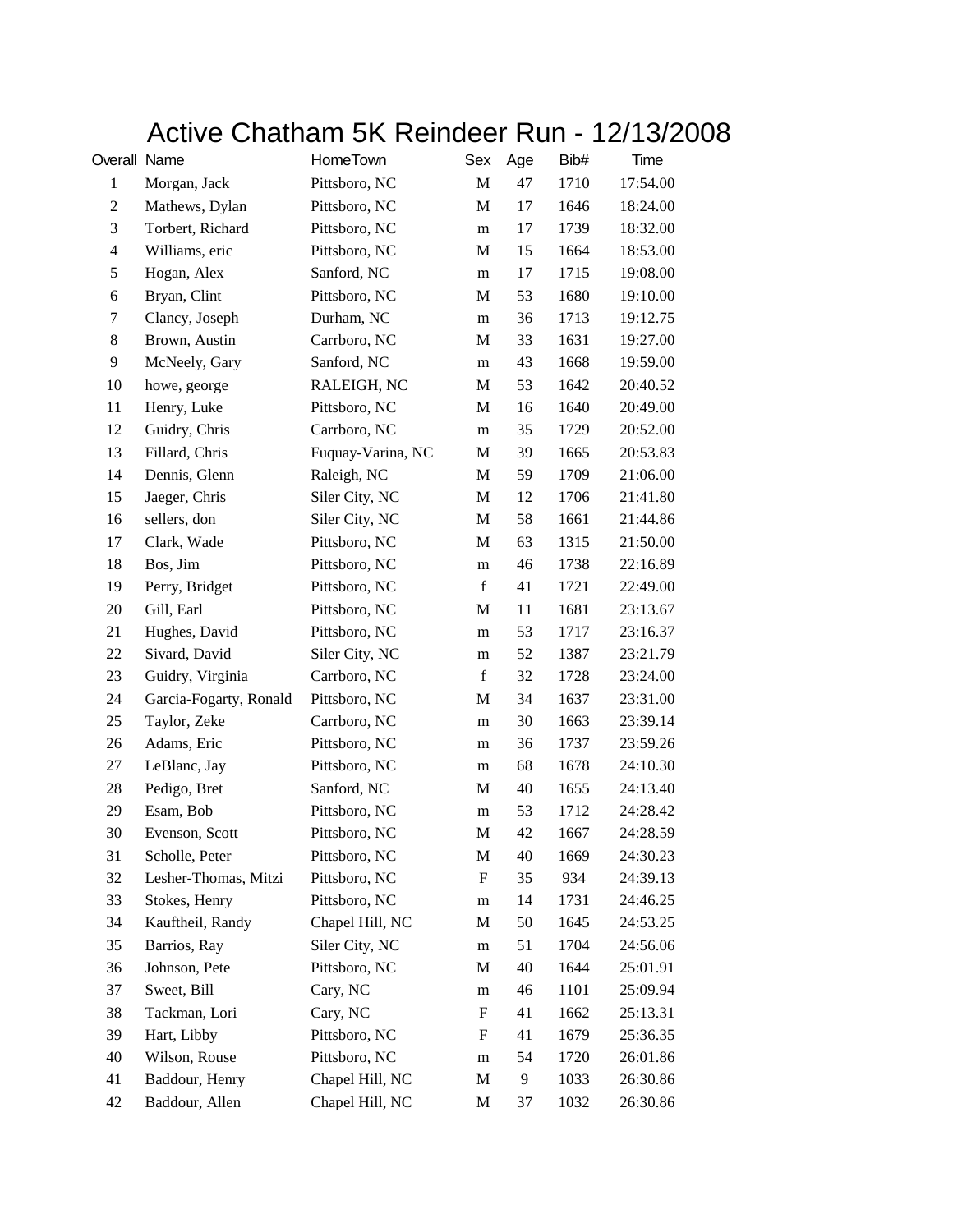## Active Chatham 5K Reindeer Run - 12/13/2008

| Overall Name   |                        | HomeTown          | Sex         | Age | Bib# | Time     |
|----------------|------------------------|-------------------|-------------|-----|------|----------|
| $\mathbf{1}$   | Morgan, Jack           | Pittsboro, NC     | $\mathbf M$ | 47  | 1710 | 17:54.00 |
| $\overline{c}$ | Mathews, Dylan         | Pittsboro, NC     | M           | 17  | 1646 | 18:24.00 |
| $\mathfrak{Z}$ | Torbert, Richard       | Pittsboro, NC     | m           | 17  | 1739 | 18:32.00 |
| $\overline{4}$ | Williams, eric         | Pittsboro, NC     | M           | 15  | 1664 | 18:53.00 |
| 5              | Hogan, Alex            | Sanford, NC       | m           | 17  | 1715 | 19:08.00 |
| 6              | Bryan, Clint           | Pittsboro, NC     | M           | 53  | 1680 | 19:10.00 |
| 7              | Clancy, Joseph         | Durham, NC        | m           | 36  | 1713 | 19:12.75 |
| 8              | Brown, Austin          | Carrboro, NC      | M           | 33  | 1631 | 19:27.00 |
| 9              | McNeely, Gary          | Sanford, NC       | m           | 43  | 1668 | 19:59.00 |
| 10             | howe, george           | RALEIGH, NC       | M           | 53  | 1642 | 20:40.52 |
| 11             | Henry, Luke            | Pittsboro, NC     | M           | 16  | 1640 | 20:49.00 |
| 12             | Guidry, Chris          | Carrboro, NC      | m           | 35  | 1729 | 20:52.00 |
| 13             | Fillard, Chris         | Fuquay-Varina, NC | M           | 39  | 1665 | 20:53.83 |
| 14             | Dennis, Glenn          | Raleigh, NC       | M           | 59  | 1709 | 21:06.00 |
| 15             | Jaeger, Chris          | Siler City, NC    | M           | 12  | 1706 | 21:41.80 |
| 16             | sellers, don           | Siler City, NC    | M           | 58  | 1661 | 21:44.86 |
| 17             | Clark, Wade            | Pittsboro, NC     | M           | 63  | 1315 | 21:50.00 |
| 18             | Bos, Jim               | Pittsboro, NC     | m           | 46  | 1738 | 22:16.89 |
| 19             | Perry, Bridget         | Pittsboro, NC     | $\mathbf f$ | 41  | 1721 | 22:49.00 |
| 20             | Gill, Earl             | Pittsboro, NC     | M           | 11  | 1681 | 23:13.67 |
| 21             | Hughes, David          | Pittsboro, NC     | m           | 53  | 1717 | 23:16.37 |
| 22             | Sivard, David          | Siler City, NC    | m           | 52  | 1387 | 23:21.79 |
| 23             | Guidry, Virginia       | Carrboro, NC      | $\mathbf f$ | 32  | 1728 | 23:24.00 |
| 24             | Garcia-Fogarty, Ronald | Pittsboro, NC     | M           | 34  | 1637 | 23:31.00 |
| 25             | Taylor, Zeke           | Carrboro, NC      | m           | 30  | 1663 | 23:39.14 |
| 26             | Adams, Eric            | Pittsboro, NC     | m           | 36  | 1737 | 23:59.26 |
| 27             | LeBlanc, Jay           | Pittsboro, NC     | m           | 68  | 1678 | 24:10.30 |
| 28             | Pedigo, Bret           | Sanford, NC       | М           | 40  | 1655 | 24:13.40 |
| 29             | Esam, Bob              | Pittsboro, NC     | m           | 53  | 1712 | 24:28.42 |
| 30             | Evenson, Scott         | Pittsboro, NC     | M           | 42  | 1667 | 24:28.59 |
| 31             | Scholle, Peter         | Pittsboro, NC     | M           | 40  | 1669 | 24:30.23 |
| 32             | Lesher-Thomas, Mitzi   | Pittsboro, NC     | F           | 35  | 934  | 24:39.13 |
| 33             | Stokes, Henry          | Pittsboro, NC     | m           | 14  | 1731 | 24:46.25 |
| 34             | Kauftheil, Randy       | Chapel Hill, NC   | M           | 50  | 1645 | 24:53.25 |
| 35             | Barrios, Ray           | Siler City, NC    | m           | 51  | 1704 | 24:56.06 |
| 36             | Johnson, Pete          | Pittsboro, NC     | M           | 40  | 1644 | 25:01.91 |
| 37             | Sweet, Bill            | Cary, NC          | m           | 46  | 1101 | 25:09.94 |
| 38             | Tackman, Lori          | Cary, NC          | F           | 41  | 1662 | 25:13.31 |
| 39             | Hart, Libby            | Pittsboro, NC     | F           | 41  | 1679 | 25:36.35 |
| 40             | Wilson, Rouse          | Pittsboro, NC     | m           | 54  | 1720 | 26:01.86 |
| 41             | Baddour, Henry         | Chapel Hill, NC   | M           | 9   | 1033 | 26:30.86 |
| 42             | Baddour, Allen         | Chapel Hill, NC   | M           | 37  | 1032 | 26:30.86 |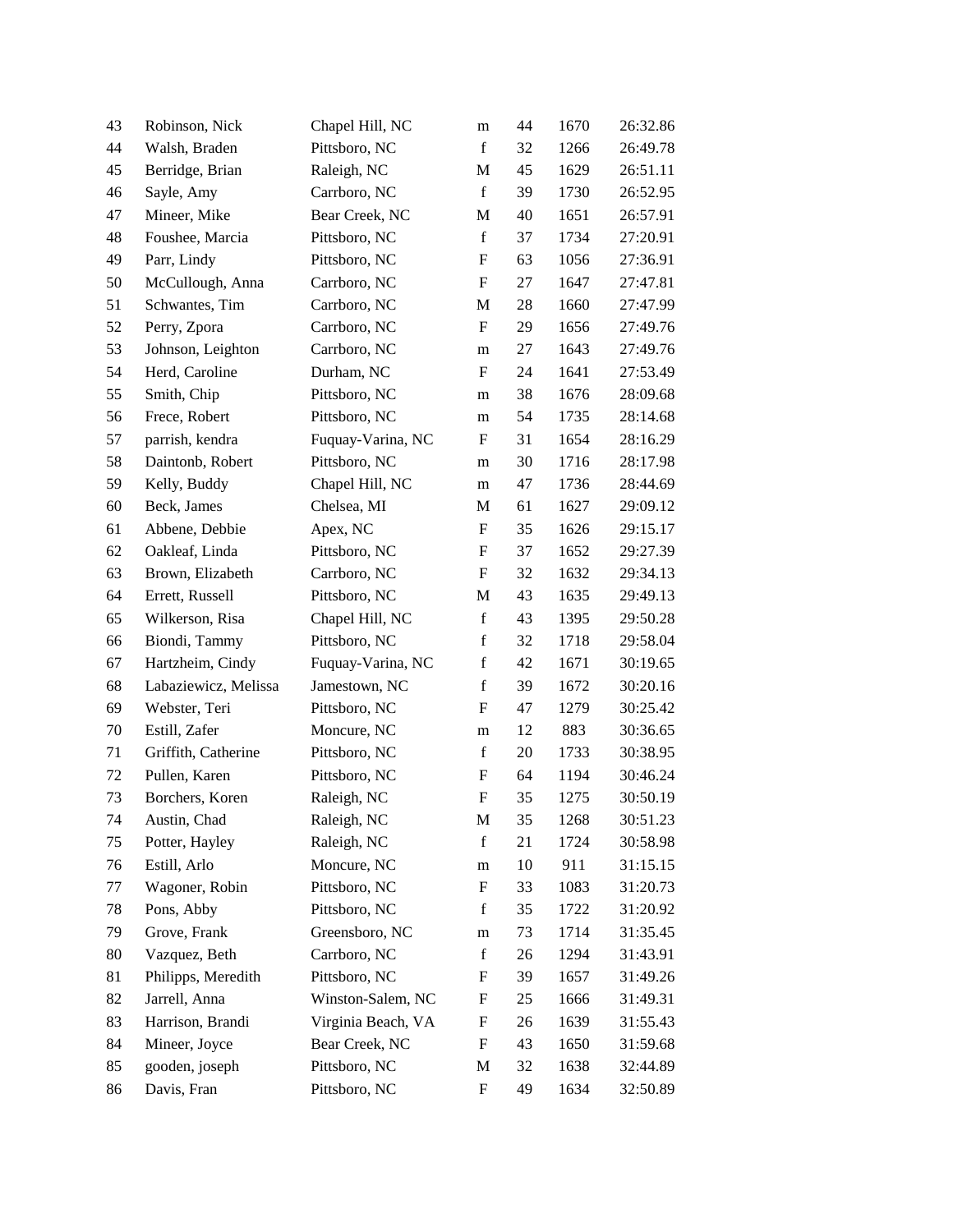| 43     | Robinson, Nick       | Chapel Hill, NC    | m                         | 44 | 1670 | 26:32.86 |
|--------|----------------------|--------------------|---------------------------|----|------|----------|
| 44     | Walsh, Braden        | Pittsboro, NC      | f                         | 32 | 1266 | 26:49.78 |
| 45     | Berridge, Brian      | Raleigh, NC        | M                         | 45 | 1629 | 26:51.11 |
| 46     | Sayle, Amy           | Carrboro, NC       | $\mathbf f$               | 39 | 1730 | 26:52.95 |
| 47     | Mineer, Mike         | Bear Creek, NC     | M                         | 40 | 1651 | 26:57.91 |
| 48     | Foushee, Marcia      | Pittsboro, NC      | $\mathbf f$               | 37 | 1734 | 27:20.91 |
| 49     | Parr, Lindy          | Pittsboro, NC      | F                         | 63 | 1056 | 27:36.91 |
| 50     | McCullough, Anna     | Carrboro, NC       | ${\rm F}$                 | 27 | 1647 | 27:47.81 |
| 51     | Schwantes, Tim       | Carrboro, NC       | M                         | 28 | 1660 | 27:47.99 |
| 52     | Perry, Zpora         | Carrboro, NC       | $\boldsymbol{\mathrm{F}}$ | 29 | 1656 | 27:49.76 |
| 53     | Johnson, Leighton    | Carrboro, NC       | ${\rm m}$                 | 27 | 1643 | 27:49.76 |
| 54     | Herd, Caroline       | Durham, NC         | F                         | 24 | 1641 | 27:53.49 |
| 55     | Smith, Chip          | Pittsboro, NC      | m                         | 38 | 1676 | 28:09.68 |
| 56     | Frece, Robert        | Pittsboro, NC      | m                         | 54 | 1735 | 28:14.68 |
| 57     | parrish, kendra      | Fuquay-Varina, NC  | $\boldsymbol{\mathrm{F}}$ | 31 | 1654 | 28:16.29 |
| 58     | Daintonb, Robert     | Pittsboro, NC      | m                         | 30 | 1716 | 28:17.98 |
| 59     | Kelly, Buddy         | Chapel Hill, NC    | m                         | 47 | 1736 | 28:44.69 |
| 60     | Beck, James          | Chelsea, MI        | M                         | 61 | 1627 | 29:09.12 |
| 61     | Abbene, Debbie       | Apex, NC           | F                         | 35 | 1626 | 29:15.17 |
| 62     | Oakleaf, Linda       | Pittsboro, NC      | ${\bf F}$                 | 37 | 1652 | 29:27.39 |
| 63     | Brown, Elizabeth     | Carrboro, NC       | $\boldsymbol{\mathrm{F}}$ | 32 | 1632 | 29:34.13 |
| 64     | Errett, Russell      | Pittsboro, NC      | M                         | 43 | 1635 | 29:49.13 |
| 65     | Wilkerson, Risa      | Chapel Hill, NC    | $\mathbf f$               | 43 | 1395 | 29:50.28 |
| 66     | Biondi, Tammy        | Pittsboro, NC      | $\mathbf f$               | 32 | 1718 | 29:58.04 |
| 67     | Hartzheim, Cindy     | Fuquay-Varina, NC  | $\mathbf f$               | 42 | 1671 | 30:19.65 |
| 68     | Labaziewicz, Melissa | Jamestown, NC      | $\mathbf f$               | 39 | 1672 | 30:20.16 |
| 69     | Webster, Teri        | Pittsboro, NC      | F                         | 47 | 1279 | 30:25.42 |
| $70\,$ | Estill, Zafer        | Moncure, NC        | m                         | 12 | 883  | 30:36.65 |
| 71     | Griffith, Catherine  | Pittsboro, NC      | $\mathbf f$               | 20 | 1733 | 30:38.95 |
| 72     | Pullen, Karen        | Pittsboro, NC      | ${\rm F}$                 | 64 | 1194 | 30:46.24 |
| 73     | Borchers, Koren      | Raleigh, NC        | ${\bf F}$                 | 35 | 1275 | 30:50.19 |
| 74     | Austin, Chad         | Raleigh, NC        | M                         | 35 | 1268 | 30:51.23 |
| 75     | Potter, Hayley       | Raleigh, NC        | $\mathbf f$               | 21 | 1724 | 30:58.98 |
| 76     | Estill, Arlo         | Moncure, NC        | ${\rm m}$                 | 10 | 911  | 31:15.15 |
| 77     | Wagoner, Robin       | Pittsboro, NC      | ${\rm F}$                 | 33 | 1083 | 31:20.73 |
| 78     | Pons, Abby           | Pittsboro, NC      | $\mathbf f$               | 35 | 1722 | 31:20.92 |
| 79     | Grove, Frank         | Greensboro, NC     | m                         | 73 | 1714 | 31:35.45 |
| 80     | Vazquez, Beth        | Carrboro, NC       | $\mathbf f$               | 26 | 1294 | 31:43.91 |
| 81     | Philipps, Meredith   | Pittsboro, NC      | F                         | 39 | 1657 | 31:49.26 |
| 82     | Jarrell, Anna        | Winston-Salem, NC  | F                         | 25 | 1666 | 31:49.31 |
| 83     | Harrison, Brandi     | Virginia Beach, VA | F                         | 26 | 1639 | 31:55.43 |
| 84     | Mineer, Joyce        | Bear Creek, NC     | ${\rm F}$                 | 43 | 1650 | 31:59.68 |
| 85     | gooden, joseph       | Pittsboro, NC      | M                         | 32 | 1638 | 32:44.89 |
| 86     | Davis, Fran          | Pittsboro, NC      | F                         | 49 | 1634 | 32:50.89 |